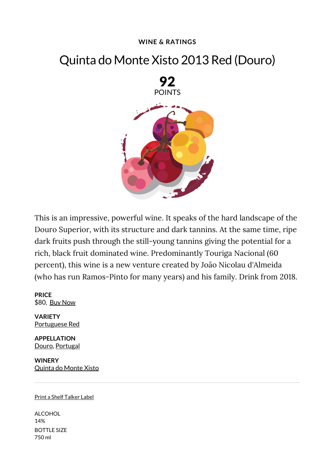## **WINE & RATINGS**

## Quinta do Monte Xisto 2013 Red (Douro)



This is an impressive, powerful wine. It speaks of the hard landscape of the Douro Superior, with its structure and dark tannins. At the same time, ripe dark fruits push through the still-young tannins giving the potential for a rich, black fruit dominated wine. Predominantly Touriga Nacional (60 percent), this wine is a new venture created by João Nicolau d'Almeida (who has run Ramos-Pinto for many years) and his family. Drink from 2018.

**PRICE** \$80, Buy Now

**VARIETY** Portuguese Red

**APPELLATION** Douro, Portugal

**WINERY** Quinta do Monte Xisto

## Print a Shelf Talker Label

ALCOHOL 14% BOTTLE SIZE 750 ml